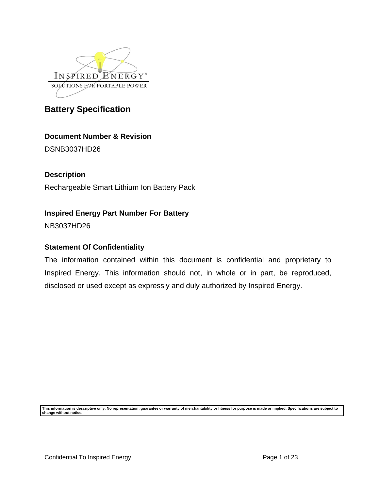

### **Document Number & Revision**

DSNB3037HD26

### **Description**

Rechargeable Smart Lithium Ion Battery Pack

### **Inspired Energy Part Number For Battery**

NB3037HD26

### **Statement Of Confidentiality**

The information contained within this document is confidential and proprietary to Inspired Energy. This information should not, in whole or in part, be reproduced, disclosed or used except as expressly and duly authorized by Inspired Energy.

**This information is descriptive only. No representation, guarantee or warranty of merchantability or fitness for purpose is made or implied. Specifications are subject to change without notice.**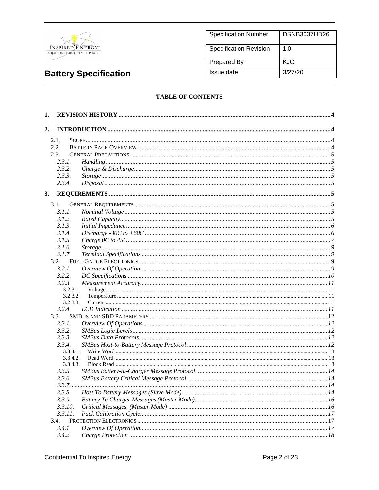

| <b>Specification Number</b>   | <b>DSNB3037HD26</b> |
|-------------------------------|---------------------|
| <b>Specification Revision</b> | 1. $\Omega$         |
| <b>Prepared By</b>            | KJO                 |
| Issue date                    | 3/27/20             |

#### **TABLE OF CONTENTS**

| 1.           |                      |  |
|--------------|----------------------|--|
| 2.           |                      |  |
|              |                      |  |
| 2.1.<br>2.2. |                      |  |
| 2.3.         |                      |  |
| 2.3.1.       |                      |  |
| 2.3.2.       |                      |  |
| 2.3.3.       |                      |  |
| 2.3.4.       |                      |  |
|              |                      |  |
| 3.           |                      |  |
| 3.1.         |                      |  |
| 3.1.1.       |                      |  |
| 3.1.2.       |                      |  |
| 3.1.3.       |                      |  |
| 3.1.4.       |                      |  |
| 3.1.5.       |                      |  |
| 3.1.6.       |                      |  |
| 3.1.7.       |                      |  |
| 3.2.         |                      |  |
| 3.2.1.       |                      |  |
| 3.2.2.       |                      |  |
| 3.2.3.       |                      |  |
|              | 3.2.3.1.<br>3.2.3.2. |  |
|              | 3.2.3.3.             |  |
| 3.2.4.       |                      |  |
| 3.3.         |                      |  |
| 3.3.1.       |                      |  |
| 3.3.2.       |                      |  |
| 3.3.3.       |                      |  |
| 3.3.4.       |                      |  |
|              | 3.3.4.1.             |  |
|              | 3.3.4.2.             |  |
|              | 3.3.4.3.             |  |
| 3.3.5.       |                      |  |
| 3.3.6.       |                      |  |
|              |                      |  |
| 3.3.8.       |                      |  |
| 3.3.9.       |                      |  |
| 3.3.10.      |                      |  |
| 3.3.11.      |                      |  |
| 3.4.         |                      |  |
| 3.4.1.       |                      |  |
| 3.4.2.       |                      |  |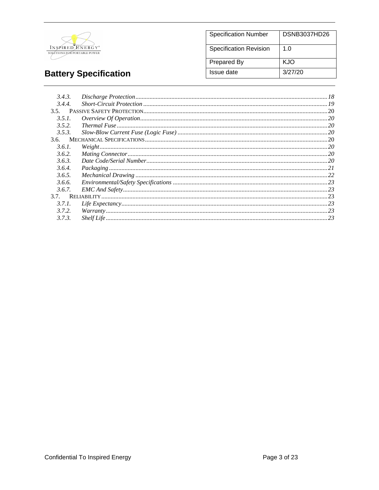

| <b>Specification Number</b>   | DSNB3037HD26 |
|-------------------------------|--------------|
| <b>Specification Revision</b> | 1. $\Omega$  |
| Prepared By                   | KJO          |
| Issue date                    | 3/27/20      |

| 3.4.3. |                                                                                                                                                                                                                                                                                                               |  |
|--------|---------------------------------------------------------------------------------------------------------------------------------------------------------------------------------------------------------------------------------------------------------------------------------------------------------------|--|
| 3.4.4. |                                                                                                                                                                                                                                                                                                               |  |
|        |                                                                                                                                                                                                                                                                                                               |  |
| 3.5.1. |                                                                                                                                                                                                                                                                                                               |  |
| 3.5.2. |                                                                                                                                                                                                                                                                                                               |  |
| 3.5.3. |                                                                                                                                                                                                                                                                                                               |  |
| 3.6.   |                                                                                                                                                                                                                                                                                                               |  |
| 3.6.1. | $Weight 1.20$                                                                                                                                                                                                                                                                                                 |  |
| 3.6.2. |                                                                                                                                                                                                                                                                                                               |  |
| 3.6.3. |                                                                                                                                                                                                                                                                                                               |  |
| 3.6.4. |                                                                                                                                                                                                                                                                                                               |  |
| 3.6.5. |                                                                                                                                                                                                                                                                                                               |  |
| 3.6.6. |                                                                                                                                                                                                                                                                                                               |  |
| 3.6.7. |                                                                                                                                                                                                                                                                                                               |  |
|        |                                                                                                                                                                                                                                                                                                               |  |
| 3.7.1. |                                                                                                                                                                                                                                                                                                               |  |
| 3.7.2. |                                                                                                                                                                                                                                                                                                               |  |
| 3.7.3. | $\frac{Warranty}{23}$ $\frac{23}{21}$ $\frac{23}{22}$ $\frac{23}{21}$ $\frac{24}{21}$ $\frac{25}{21}$ $\frac{26}{21}$ $\frac{27}{21}$ $\frac{28}{21}$ $\frac{27}{21}$ $\frac{28}{21}$ $\frac{27}{21}$ $\frac{28}{21}$ $\frac{27}{21}$ $\frac{28}{21}$ $\frac{27}{21}$ $\frac{27}{21}$ $\frac{27}{21}$ $\frac$ |  |
|        |                                                                                                                                                                                                                                                                                                               |  |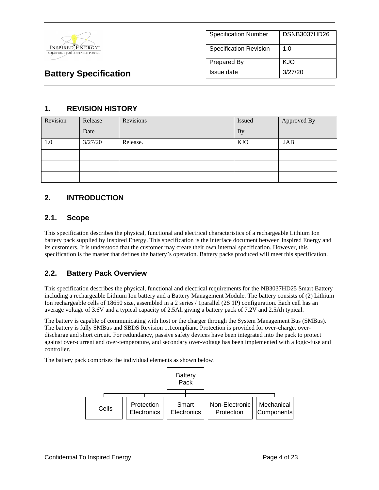

| <b>Specification Number</b> | DSNB3037HD26 |
|-----------------------------|--------------|
| Specification Revision      | 1.0          |
| <b>Prepared By</b>          | KJO          |
| Issue date                  | 3/27/20      |

### **1. REVISION HISTORY**

| Revision | Release | Revisions | Issued     | Approved By |
|----------|---------|-----------|------------|-------------|
|          | Date    |           | <b>By</b>  |             |
| 1.0      | 3/27/20 | Release.  | <b>KJO</b> | <b>JAB</b>  |
|          |         |           |            |             |
|          |         |           |            |             |
|          |         |           |            |             |

### **2. INTRODUCTION**

### **2.1. Scope**

This specification describes the physical, functional and electrical characteristics of a rechargeable Lithium Ion battery pack supplied by Inspired Energy. This specification is the interface document between Inspired Energy and its customers. It is understood that the customer may create their own internal specification. However, this specification is the master that defines the battery's operation. Battery packs produced will meet this specification.

### **2.2. Battery Pack Overview**

This specification describes the physical, functional and electrical requirements for the NB3037HD25 Smart Battery including a rechargeable Lithium Ion battery and a Battery Management Module. The battery consists of (2) Lithium Ion rechargeable cells of 18650 size, assembled in a 2 series / 1parallel (2S 1P) configuration. Each cell has an average voltage of 3.6V and a typical capacity of 2.5Ah giving a battery pack of 7.2V and 2.5Ah typical.

The battery is capable of communicating with host or the charger through the System Management Bus (SMBus). The battery is fully SMBus and SBDS Revision 1.1compliant. Protection is provided for over-charge, overdischarge and short circuit. For redundancy, passive safety devices have been integrated into the pack to protect against over-current and over-temperature, and secondary over-voltage has been implemented with a logic-fuse and controller.

The battery pack comprises the individual elements as shown below.

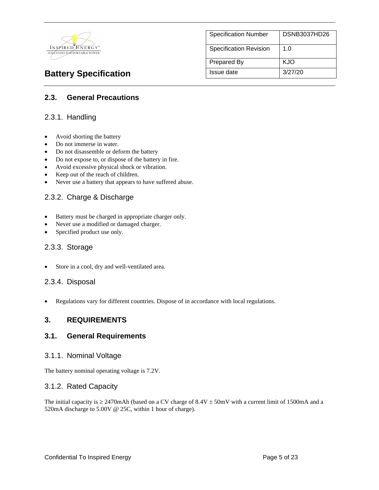

| <b>Specification Number</b>   | <b>DSNB3037HD26</b> |
|-------------------------------|---------------------|
| <b>Specification Revision</b> | 1.0                 |
| <b>Prepared By</b>            | KJO                 |
| Issue date                    | 3/27/20             |

### **2.3. General Precautions**

### 2.3.1. Handling

- Avoid shorting the battery
- Do not immerse in water.
- Do not disassemble or deform the battery
- Do not expose to, or dispose of the battery in fire.
- Avoid excessive physical shock or vibration.
- Keep out of the reach of children.
- Never use a battery that appears to have suffered abuse.

### 2.3.2. Charge & Discharge

- Battery must be charged in appropriate charger only.
- Never use a modified or damaged charger.
- Specified product use only.

#### 2.3.3. Storage

Store in a cool, dry and well-ventilated area.

#### 2.3.4. Disposal

• Regulations vary for different countries. Dispose of in accordance with local regulations.

#### **3. REQUIREMENTS**

#### **3.1. General Requirements**

#### 3.1.1. Nominal Voltage

The battery nominal operating voltage is 7.2V.

#### 3.1.2. Rated Capacity

The initial capacity is  $\geq$  2470mAh (based on a CV charge of 8.4V  $\pm$  50mV with a current limit of 1500mA and a 520mA discharge to 5.00V @ 25C, within 1 hour of charge).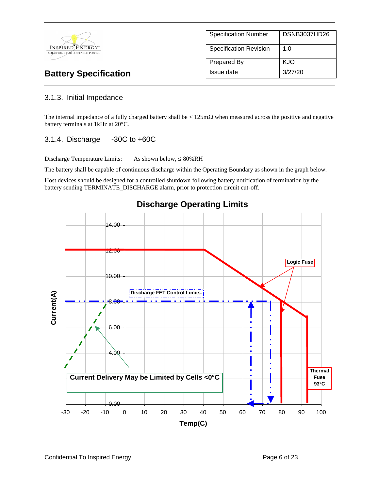

### 3.1.3. Initial Impedance

The internal impedance of a fully charged battery shall be  $\lt$  125m $\Omega$  when measured across the positive and negative battery terminals at 1kHz at 20°C.

#### 3.1.4. Discharge -30C to +60C

Discharge Temperature Limits: As shown below,  $\leq 80\%RH$ 

The battery shall be capable of continuous discharge within the Operating Boundary as shown in the graph below.

Host devices should be designed for a controlled shutdown following battery notification of termination by the battery sending TERMINATE\_DISCHARGE alarm, prior to protection circuit cut-off.



### **Discharge Operating Limits**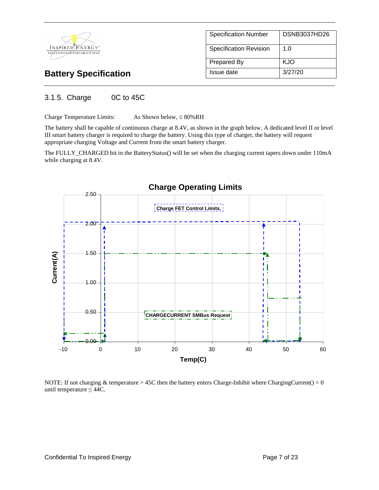

### 3.1.5. Charge 0C to 45C

Charge Temperature Limits: As Shown below,  $\leq 80\%RH$ 

The battery shall be capable of continuous charge at 8.4V, as shown in the graph below. A dedicated level II or level III smart battery charger is required to charge the battery. Using this type of charger, the battery will request appropriate charging Voltage and Current from the smart battery charger.

The FULLY\_CHARGED bit in the BatteryStatus() will be set when the charging current tapers down under 110mA while charging at 8.4V.



NOTE: If not charging & temperature  $> 45C$  then the battery enters Charge-Inhibit where ChargingCurrent() = 0 until temperature  $\leq 44C$ .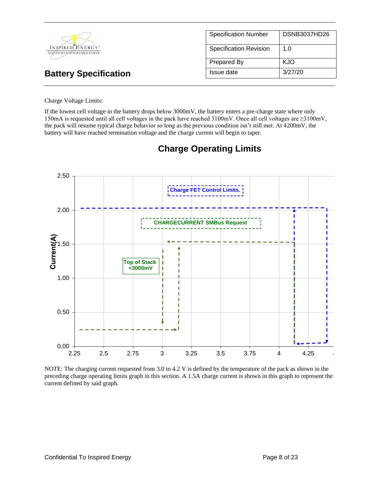|                                                  | <b>Specification Number</b>   | DSNB3037HD26 |
|--------------------------------------------------|-------------------------------|--------------|
| INSPIRED ENERGY*<br>SOLUTIONS FOR PORTABLE POWER | <b>Specification Revision</b> | 1.0          |
|                                                  | Prepared By                   | <b>KJO</b>   |
| <b>Battery Specification</b>                     | Issue date                    | 3/27/20      |

#### Charge Voltage Limits:

If the lowest cell voltage in the battery drops below 3000mV, the battery enters a pre-charge state where only 150mA is requested until all cell voltages in the pack have reached 3100mV. Once all cell voltages are ≥3100mV, the pack will resume typical charge behavior so long as the previous condition isn't still met. At 4200mV, the battery will have reached termination voltage and the charge current will begin to taper.



# **Charge Operating Limits**

NOTE: The charging current requested from 3.0 to 4.2 V is defined by the temperature of the pack as shown in the preceding charge operating limits graph in this section. A 1.5A charge current is shown in this graph to represent the current defined by said graph.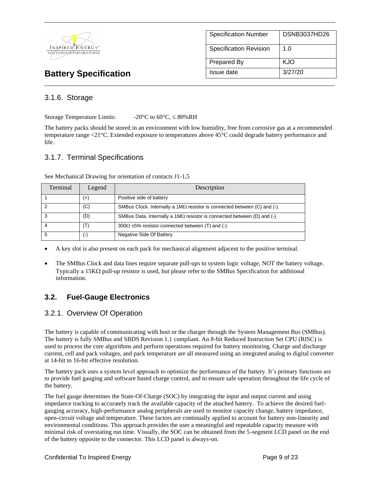

| <b>Specification Number</b> | DSNB3037HD26 |
|-----------------------------|--------------|
| Specification Revision      | 1.0          |
| Prepared By                 | KJO          |
| Issue date                  | 3/27/20      |

### 3.1.6. Storage

Storage Temperature Limits:  $-20^{\circ}C$  to  $60^{\circ}C \le 80\%RH$ 

The battery packs should be stored in an environment with low humidity, free from corrosive gas at a recommended temperature range <21°C. Extended exposure to temperatures above 45°C could degrade battery performance and life.

### 3.1.7. Terminal Specifications

| Terminal | Legend         | Description                                                                     |
|----------|----------------|---------------------------------------------------------------------------------|
|          | $^{(+)}$       | Positive side of battery                                                        |
| 2        | (C)            | SMBus Clock. Internally a $1M\Omega$ resistor is connected between (C) and (-). |
| 3        | (D)            | SMBus Data. Internally a $1M\Omega$ resistor is connected between (D) and (-).  |
|          | $(\mathsf{T})$ | $300\Omega \pm 5\%$ resistor connected between (T) and (-).                     |
| 5        | $(\hbox{--})$  | Negative Side Of Battery                                                        |

See Mechanical Drawing for orientation of contacts J1-1,5

• A key slot is also present on each pack for mechanical alignment adjacent to the positive terminal.

• The SMBus Clock and data lines require separate pull-ups to system logic voltage, NOT the battery voltage. Typically a  $15K\Omega$  pull-up resistor is used, but please refer to the SMBus Specification for additional information.

### **3.2. Fuel-Gauge Electronics**

### 3.2.1. Overview Of Operation

The battery is capable of communicating with host or the charger through the System Management Bus (SMBus). The battery is fully SMBus and SBDS Revision 1.1 compliant. An 8-bit Reduced Instruction Set CPU (RISC) is used to process the core algorithms and perform operations required for battery monitoring. Charge and discharge current, cell and pack voltages, and pack temperature are all measured using an integrated analog to digital converter at 14-bit to 16-bit effective resolution.

The battery pack uses a system level approach to optimize the performance of the battery. It's primary functions are to provide fuel gauging and software based charge control, and to ensure safe operation throughout the life cycle of the battery.

The fuel gauge determines the State-Of-Charge (SOC) by integrating the input and output current and using impedance tracking to accurately track the available capacity of the attached battery. To achieve the desired fuelgauging accuracy, high-performance analog peripherals are used to monitor capacity change, battery impedance, open-circuit voltage and temperature. These factors are continually applied to account for battery non-linearity and environmental conditions. This approach provides the user a meaningful and repeatable capacity measure with minimal risk of overstating run time. Visually, the SOC can be obtained from the 5-segment LCD panel on the end of the battery opposite to the connector. This LCD panel is always-on.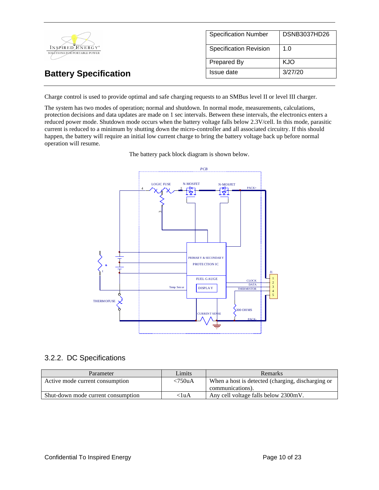|                                                  | <b>Specification Number</b>   | DSNB3037HD26 |
|--------------------------------------------------|-------------------------------|--------------|
| INSPIRED ENERGY*<br>SOLÚTIONS FOR PORTABLE POWER | <b>Specification Revision</b> | 1.0          |
|                                                  | Prepared By                   | <b>KJO</b>   |
| <b>Battery Specification</b>                     | Issue date                    | 3/27/20      |

Charge control is used to provide optimal and safe charging requests to an SMBus level II or level III charger.

The system has two modes of operation; normal and shutdown. In normal mode, measurements, calculations, protection decisions and data updates are made on 1 sec intervals. Between these intervals, the electronics enters a reduced power mode. Shutdown mode occurs when the battery voltage falls below 2.3V/cell. In this mode, parasitic current is reduced to a minimum by shutting down the micro-controller and all associated circuitry. If this should happen, the battery will require an initial low current charge to bring the battery voltage back up before normal operation will resume.





### 3.2.2. DC Specifications

| Parameter                          | Limits     | <b>Remarks</b>                                    |
|------------------------------------|------------|---------------------------------------------------|
| Active mode current consumption    | $< 750$ uA | When a host is detected (charging, discharging or |
|                                    |            | communications).                                  |
| Shut-down mode current consumption | <1uA       | Any cell voltage falls below 2300mV.              |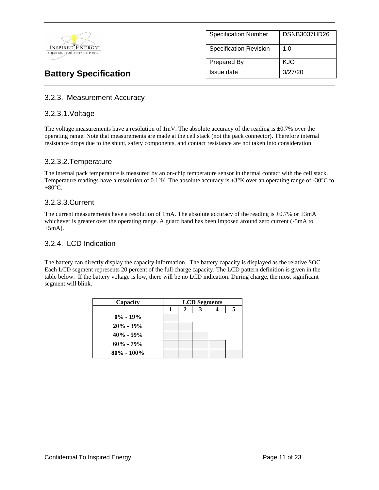

| <b>Specification Number</b>   | <b>DSNB3037HD26</b> |
|-------------------------------|---------------------|
| <b>Specification Revision</b> | 1. $\Omega$         |
| <b>Prepared By</b>            | KJO                 |
| Issue date                    | 3/27/20             |

### 3.2.3. Measurement Accuracy

#### 3.2.3.1.Voltage

The voltage measurements have a resolution of 1mV. The absolute accuracy of the reading is  $\pm 0.7\%$  over the operating range. Note that measurements are made at the cell stack (not the pack connector). Therefore internal resistance drops due to the shunt, safety components, and contact resistance are not taken into consideration.

### 3.2.3.2.Temperature

The internal pack temperature is measured by an on-chip temperature sensor in thermal contact with the cell stack. Temperature readings have a resolution of 0.1°K. The absolute accuracy is ±3°K over an operating range of -30°C to  $+80^{\circ}$ C.

### 3.2.3.3.Current

The current measurements have a resolution of 1mA. The absolute accuracy of the reading is  $\pm 0.7\%$  or  $\pm 3$ mA whichever is greater over the operating range. A guard band has been imposed around zero current (-5mA to  $+5mA$ ).

#### 3.2.4. LCD Indication

The battery can directly display the capacity information. The battery capacity is displayed as the relative SOC. Each LCD segment represents 20 percent of the full charge capacity. The LCD pattern definition is given in the table below. If the battery voltage is low, there will be no LCD indication. During charge, the most significant segment will blink.

| Capacity       | <b>LCD</b> Segments |   |  |   |
|----------------|---------------------|---|--|---|
|                |                     | 2 |  | 5 |
| $0\% - 19\%$   |                     |   |  |   |
| $20\% - 39\%$  |                     |   |  |   |
| $40\% - 59\%$  |                     |   |  |   |
| $60\% - 79\%$  |                     |   |  |   |
| $80\% - 100\%$ |                     |   |  |   |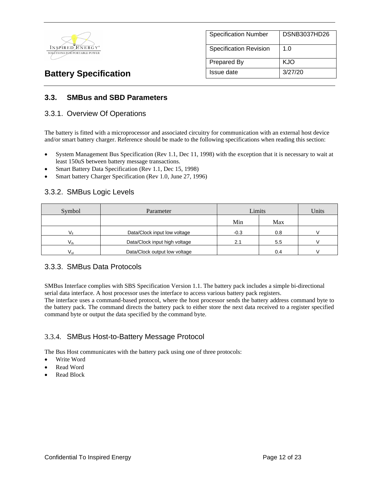

| <b>Specification Number</b>   | <b>DSNB3037HD26</b> |
|-------------------------------|---------------------|
| <b>Specification Revision</b> | 1.0                 |
| Prepared By                   | KJO                 |
| Issue date                    | 3/27/20             |

### **3.3. SMBus and SBD Parameters**

#### 3.3.1. Overview Of Operations

The battery is fitted with a microprocessor and associated circuitry for communication with an external host device and/or smart battery charger. Reference should be made to the following specifications when reading this section:

- System Management Bus Specification (Rev 1.1, Dec 11, 1998) with the exception that it is necessary to wait at least 150uS between battery message transactions.
- Smart Battery Data Specification (Rev 1.1, Dec 15, 1998)
- Smart battery Charger Specification (Rev 1.0, June 27, 1996)

### 3.3.2. SMBus Logic Levels

| Symbol                                                      | Parameter                    | Limits |     | Units |
|-------------------------------------------------------------|------------------------------|--------|-----|-------|
|                                                             |                              | Min    | Max |       |
| $V_{\rm ii}$                                                | Data/Clock input low voltage |        | 0.8 |       |
| Data/Clock input high voltage<br>$\mathsf{V}_{\mathsf{ih}}$ |                              | 2.1    | 5.5 |       |
| Data/Clock output low voltage<br>Vol                        |                              |        | 0.4 |       |

### 3.3.3. SMBus Data Protocols

SMBus Interface complies with SBS Specification Version 1.1. The battery pack includes a simple bi-directional serial data interface. A host processor uses the interface to access various battery pack registers.

The interface uses a command-based protocol, where the host processor sends the battery address command byte to the battery pack. The command directs the battery pack to either store the next data received to a register specified command byte or output the data specified by the command byte.

### 3.3.4. SMBus Host-to-Battery Message Protocol

The Bus Host communicates with the battery pack using one of three protocols:

- Write Word
- Read Word
- Read Block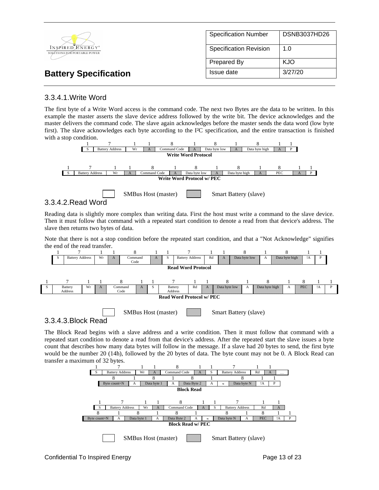|                                                  | <b>Specification Number</b>   | DSNB3037HD26 |
|--------------------------------------------------|-------------------------------|--------------|
| INSPIRED ENERGY*<br>SOLUTIONS FOR PORTABLE POWER | <b>Specification Revision</b> | 1.0          |
|                                                  | Prepared By                   | KJO          |
| <b>Battery Specification</b>                     | Issue date                    | 3/27/20      |

### 3.3.4.1.Write Word

The first byte of a Write Word access is the command code. The next two Bytes are the data to be written. In this example the master asserts the slave device address followed by the write bit. The device acknowledges and the master delivers the command code. The slave again acknowledges before the master sends the data word (low byte first). The slave acknowledges each byte according to the I²C specification, and the entire transaction is finished with a stop condition.



### 3.3.4.2.Read Word

Reading data is slightly more complex than writing data. First the host must write a command to the slave device. Then it must follow that command with a repeated start condition to denote a read from that device's address. The slave then returns two bytes of data.

Note that there is not a stop condition before the repeated start condition, and that a "Not Acknowledge" signifies the end of the read transfer.



SMBus Host (master) Smart Battery (slave)

### 3.3.4.3.Block Read

The Block Read begins with a slave address and a write condition. Then it must follow that command with a repeated start condition to denote a read from that device's address. After the repeated start the slave issues a byte count that describes how many data bytes will follow in the message. If a slave had 20 bytes to send, the first byte would be the number 20 (14h), followed by the 20 bytes of data. The byte count may not be 0. A Block Read can transfer a maximum of 32 bytes.

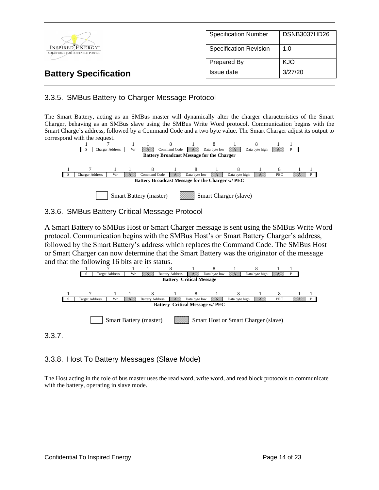|                                                  | <b>Specification Number</b>   | DSNB3037HD26 |
|--------------------------------------------------|-------------------------------|--------------|
| INSPIRED ENERGY*<br>SOLUTIONS FOR PORTABLE POWER | <b>Specification Revision</b> | 1.0          |
|                                                  | Prepared By                   | <b>KJO</b>   |
| <b>Battery Specification</b>                     | Issue date                    | 3/27/20      |

### 3.3.5. SMBus Battery-to-Charger Message Protocol

The Smart Battery, acting as an SMBus master will dynamically alter the charger characteristics of the Smart Charger, behaving as an SMBus slave using the SMBus Write Word protocol. Communication begins with the Smart Charge's address, followed by a Command Code and a two byte value. The Smart Charger adjust its output to correspond with the request.



### 3.3.6. SMBus Battery Critical Message Protocol

A Smart Battery to SMBus Host or Smart Charger message is sent using the SMBus Write Word protocol. Communication begins with the SMBus Host's or Smart Battery Charger's address, followed by the Smart Battery's address which replaces the Command Code. The SMBus Host or Smart Charger can now determine that the Smart Battery was the originator of the message and that the following 16 bits are its status.



3.3.7.

### 3.3.8. Host To Battery Messages (Slave Mode)

The Host acting in the role of bus master uses the read word, write word, and read block protocols to communicate with the battery, operating in slave mode.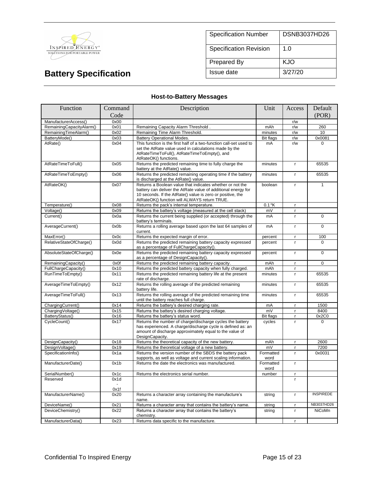

| <b>Specification Number</b>   | <b>DSNB3037HD26</b> |
|-------------------------------|---------------------|
| <b>Specification Revision</b> | 1. $\Omega$         |
| <b>Prepared By</b>            | KJO                 |
| Issue date                    | 3/27/20             |

### **Host-to-Battery Messages**

| Function                 | Command | Description                                                                                                                                                                                                                              | Unit              | Access       | Default          |
|--------------------------|---------|------------------------------------------------------------------------------------------------------------------------------------------------------------------------------------------------------------------------------------------|-------------------|--------------|------------------|
|                          | Code    |                                                                                                                                                                                                                                          |                   |              | (POR)            |
| ManufacturerAccess()     | 0x00    |                                                                                                                                                                                                                                          |                   | r/w          |                  |
| RemainingCapacityAlarm() | 0x01    | Remaining Capacity Alarm Threshold                                                                                                                                                                                                       | mAh               | r/w          | 260              |
| RemainingTimeAlarm()     | 0x02    | Remaining Time Alarm Threshold.                                                                                                                                                                                                          | minutes           | r/w          | 10               |
| BatteryMode()            | 0x03    | <b>Battery Operational Modes.</b>                                                                                                                                                                                                        | <b>Bit flags</b>  | r/w          | 0x0081           |
| AtRate()                 | 0x04    | This function is the first half of a two-function call-set used to<br>set the AtRate value used in calculations made by the<br>AtRateTimeToFull(), AtRateTimeToEmpty(), and<br>AtRateOK() functions.                                     | mA                | r/w          | $\Omega$         |
| AtRateTimeToFull()       | 0x05    | Returns the predicted remaining time to fully charge the<br>battery at the AtRate() value.                                                                                                                                               | minutes           | $\mathsf{r}$ | 65535            |
| AtRateTimeToEmpty()      | 0x06    | Returns the predicted remaining operating time if the battery<br>is discharged at the AtRate() value.                                                                                                                                    | minutes           | $\mathbf{r}$ | 65535            |
| AtRateOK()               | 0x07    | Returns a Boolean value that indicates whether or not the<br>battery can deliver the AtRate value of additional energy for<br>10 seconds. If the AtRate() value is zero or positive, the<br>AtRateOK() function will ALWAYS return TRUE. | boolean           | $\mathbf{r}$ | $\mathbf{1}$     |
| Temperature()            | 0x08    | Returns the pack's internal temperature.                                                                                                                                                                                                 | $0.1$ °K          | $\mathbf{r}$ |                  |
| Voltage()                | 0x09    | Returns the battery's voltage (measured at the cell stack)                                                                                                                                                                               | mV                | r            |                  |
| Current()                | 0x0a    | Returns the current being supplied (or accepted) through the<br>battery's terminals.                                                                                                                                                     | mA                | r            | $\Omega$         |
| AverageCurrent()         | 0x0b    | Returns a rolling average based upon the last 64 samples of<br>current.                                                                                                                                                                  | mA                | r.           | $\Omega$         |
| MaxError()               | 0x0c    | Returns the expected margin of error.                                                                                                                                                                                                    | percent           | $\mathsf{r}$ | 100              |
| RelativeStateOfCharge()  | 0x0d    | Returns the predicted remaining battery capacity expressed<br>as a percentage of FullChargeCapacity().                                                                                                                                   | percent           | r            | $\Omega$         |
| AbsoluteStateOfCharge()  | 0x0e    | Returns the predicted remaining battery capacity expressed<br>as a percentage of DesignCapacity().                                                                                                                                       | percent           | r.           | $\mathbf 0$      |
| RemainingCapacity()      | 0x0f    | Returns the predicted remaining battery capacity.                                                                                                                                                                                        | mAh               | r            | $\mathbf 0$      |
| FullChargeCapacity()     | 0x10    | Returns the predicted battery capacity when fully charged.                                                                                                                                                                               | mAh               | r.           |                  |
| RunTimeToEmpty()         | 0x11    | Returns the predicted remaining battery life at the present<br>rate of discharge.                                                                                                                                                        | minutes           | r            | 65535            |
| AverageTimeToEmpty()     | 0x12    | Returns the rolling average of the predicted remaining<br>battery life.                                                                                                                                                                  | minutes           | r            | 65535            |
| AverageTimeToFull()      | 0x13    | Returns the rolling average of the predicted remaining time<br>until the battery reaches full charge.                                                                                                                                    | minutes           | r.           | 65535            |
| ChargingCurrent()        | 0x14    | Returns the battery's desired charging rate.                                                                                                                                                                                             | mA                | r.           | 1500             |
| ChargingVoltage()        | 0x15    | Returns the battery's desired charging voltage.                                                                                                                                                                                          | mV                | r.           | 8400             |
| BatteryStatus()          | 0x16    | Returns the battery's status word.                                                                                                                                                                                                       | <b>Bit flags</b>  | $\mathbf{r}$ | 0x2C0            |
| CycleCount()             | 0x17    | Returns the number of charge/discharge cycles the battery<br>has experienced. A charge/discharge cycle is defined as: an<br>amount of discharge approximately equal to the value of<br>DesignCapacity.                                   | cycles            | r            | $\Omega$         |
| DesignCapacity()         | 0x18    | Returns the theoretical capacity of the new battery.                                                                                                                                                                                     | mAh               | r            | 2600             |
| DesignVoltage()          | 0x19    | Returns the theoretical voltage of a new battery.                                                                                                                                                                                        | mV                | r.           | 7200             |
| SpecificationInfo()      | 0x1a    | Returns the version number of the SBDS the battery pack<br>supports, as well as voltage and current scaling information.                                                                                                                 | Formatted<br>word | r.           | 0x0031           |
| ManufacturerDate()       | 0x1b    | Returns the date the electronics was manufactured.                                                                                                                                                                                       | Formatted<br>word | r.           |                  |
| SerialNumber()           | 0x1c    | Returns the electronics serial number.                                                                                                                                                                                                   | number            | r            |                  |
| Reserved                 | 0x1d    |                                                                                                                                                                                                                                          |                   | r            |                  |
|                          | 0x1f    |                                                                                                                                                                                                                                          |                   |              |                  |
| ManufacturerName()       | 0x20    | Returns a character array containing the manufacture's<br>name.                                                                                                                                                                          | string            | r.           | <b>INSPIREDE</b> |
| DeviceName()             | 0x21    | Returns a character array that contains the battery's name.                                                                                                                                                                              | string            | r.           | NB3037HD26       |
| DeviceChemistry()        | 0x22    | Returns a character array that contains the battery's<br>chemistry.                                                                                                                                                                      | string            | r            | NiCoMn           |
| ManufacturerData()       | 0x23    | Returns data specific to the manufacture.                                                                                                                                                                                                |                   | r            |                  |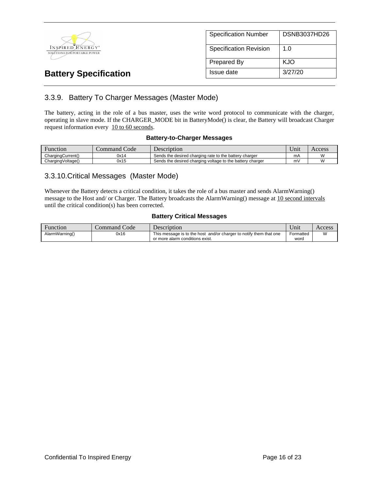

### 3.3.9. Battery To Charger Messages (Master Mode)

The battery, acting in the role of a bus master, uses the write word protocol to communicate with the charger, operating in slave mode. If the CHARGER\_MODE bit in BatteryMode() is clear, the Battery will broadcast Charger request information every 10 to 60 seconds.

#### **Battery-to-Charger Messages**

| Function          | $\sim$<br>Code<br>command | <b>Description</b>                                        | $  -$<br>∪nıt | Access |
|-------------------|---------------------------|-----------------------------------------------------------|---------------|--------|
| ChargingCurrent() | 0x14                      | Sends the desired charging rate to the battery charger    | mΑ            |        |
| ChargingVoltage() | 0x15                      | Sends the desired charging voltage to the battery charger | m۱            |        |

### 3.3.10.Critical Messages (Master Mode)

Whenever the Battery detects a critical condition, it takes the role of a bus master and sends AlarmWarning() message to the Host and/ or Charger. The Battery broadcasts the AlarmWarning() message at 10 second intervals until the critical condition(s) has been corrected.

#### **Battery Critical Messages**

| Function       | Command Code | $D$ escription                                                                                        | $\cup$ nıt $\cup$ | Access |
|----------------|--------------|-------------------------------------------------------------------------------------------------------|-------------------|--------|
| AlarmWarning() | 0x16         | This message is to the host and/or charger to notify them that one<br>or more alarm conditions exist. | Formatted<br>word | M      |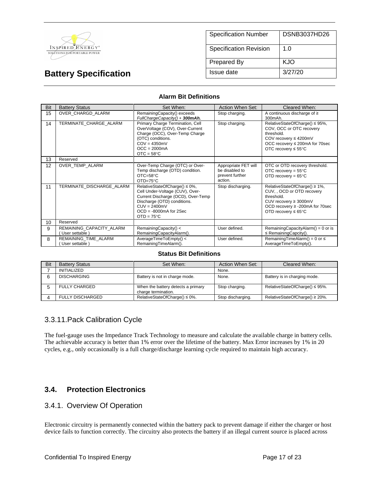

| <b>Specification Number</b>   | <b>DSNB3037HD26</b> |
|-------------------------------|---------------------|
| <b>Specification Revision</b> | 1. $\Omega$         |
| <b>Prepared By</b>            | KJO                 |
| Issue date                    | 3/27/20             |

#### **Alarm Bit Definitions**

| Bit | <b>Battery Status</b>                     | Set When:                                                                                                                                                                                                  | Action When Set:                                                     | Cleared When:                                                                                                                                                                 |
|-----|-------------------------------------------|------------------------------------------------------------------------------------------------------------------------------------------------------------------------------------------------------------|----------------------------------------------------------------------|-------------------------------------------------------------------------------------------------------------------------------------------------------------------------------|
| 15  | OVER CHARGD ALARM                         | RemainingCapacity() exceeds<br>FullChargeCapacity() + 300mAh.                                                                                                                                              | Stop charging.                                                       | A continuous discharge of $\geq$<br>300mAh.                                                                                                                                   |
| 14  | TERMINATE CHARGE ALARM                    | Primary Charge Termination, Cell<br>OverVoltage (COV), Over-Current<br>Charge (OCC), Over-Temp Charge<br>(OTC) conditions.<br>$COV = 4350mV$<br>$OCC = 2000mA$<br>$OTC = 58°C$                             | Stop charging.                                                       | RelativeStateOfCharge() ≤ 95%,<br>COV, OCC or OTC recovery<br>threshold.<br>COV recovery ≤ 4200mV<br>OCC recovery ≤ 200mA for 70sec<br>OTC recovery $\leq 55^{\circ}$ C       |
| 13  | Reserved                                  |                                                                                                                                                                                                            |                                                                      |                                                                                                                                                                               |
| 12  | OVER_TEMP_ALARM                           | Over-Temp Charge (OTC) or Over-<br>Temp discharge (OTD) condition.<br>$OTC = 58°C$<br>$OTD=75^{\circ}C$                                                                                                    | Appropriate FET will<br>be disabled to<br>prevent further<br>action. | OTC or OTD recovery threshold.<br>OTC recovery = $55^{\circ}$ C<br>OTD recovery = $65^{\circ}$ C                                                                              |
| 11  | TERMINATE DISCHARGE ALARM                 | RelativeStateOfCharge() ≤ 0%,<br>Cell Under-Voltage (CUV), Over-<br>Current Discharge (OCD), Over-Temp<br>Discharge (OTD) conditions.<br>$CUV = 2400mV$<br>$OCD = -8000mA$ for 2Sec<br>$OTD = 75^{\circ}C$ | Stop discharging.                                                    | RelativeStateOfCharge() ≥ 1%,<br>CUV., OCD or OTD recovery<br>threshold.<br>CUV recovery $\geq$ 3000mV<br>OCD recovery ≥ -200mA for 70sec<br>OTD recovery $\leq 65^{\circ}$ C |
| 10  | Reserved                                  |                                                                                                                                                                                                            |                                                                      |                                                                                                                                                                               |
| 9   | REMAINING CAPACITY ALARM<br>User settable | RemainingCapacity() <<br>RemainingCapacityAlarm().                                                                                                                                                         | User defined.                                                        | RemainingCapacityAlarm() = $0$ or is<br>$\leq$ Remaining Capcity().                                                                                                           |
| 8   | REMAINING TIME ALARM<br>User settable     | AverageTimeToEmpty() <<br>RemainingTimeAlarm().                                                                                                                                                            | User defined.                                                        | RemainingTimeAlarm() = $0$ or $\leq$<br>AverageTimeToEmpty().                                                                                                                 |

#### **Status Bit Definitions**

| <b>Bit</b> | <b>Battery Status</b>   | Set When:                                                 | Action When Set:  | Cleared When:                       |
|------------|-------------------------|-----------------------------------------------------------|-------------------|-------------------------------------|
|            | INITIALIZED             |                                                           | None.             |                                     |
|            | <b>DISCHARGING</b>      | Battery is not in charge mode.                            | None.             | Battery is in charging mode.        |
|            | <b>FULLY CHARGED</b>    | When the battery detects a primary<br>charge termination. | Stop charging.    | RelativeStateOfCharge() $\leq$ 95%. |
|            | <b>FULLY DISCHARGED</b> | RelativeStateOfCharge() $\leq 0\%$ .                      | Stop discharging. | RelativeStateOfCharge() ≥ 20%.      |

### 3.3.11.Pack Calibration Cycle

The fuel-gauge uses the Impedance Track Technology to measure and calculate the available charge in battery cells. The achievable accuracy is better than 1% error over the lifetime of the battery. Max Error increases by 1% in 20 cycles, e.g., only occasionally is a full charge/discharge learning cycle required to maintain high accuracy.

### **3.4. Protection Electronics**

### 3.4.1. Overview Of Operation

Electronic circuitry is permanently connected within the battery pack to prevent damage if either the charger or host device fails to function correctly. The circuitry also protects the battery if an illegal current source is placed across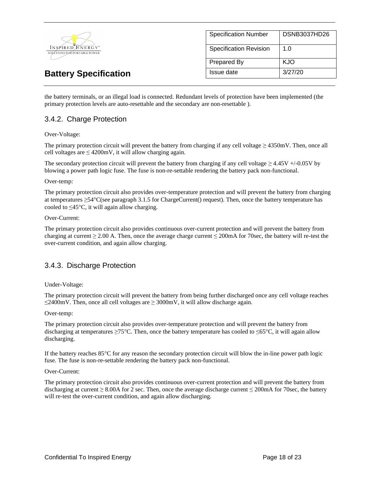

the battery terminals, or an illegal load is connected. Redundant levels of protection have been implemented (the primary protection levels are auto-resettable and the secondary are non-resettable ).

### 3.4.2. Charge Protection

#### Over-Voltage:

The primary protection circuit will prevent the battery from charging if any cell voltage  $\geq$  4350mV. Then, once all cell voltages are  $\leq 4200$ mV, it will allow charging again.

The secondary protection circuit will prevent the battery from charging if any cell voltage  $\geq 4.45V + (-0.05V)$  by blowing a power path logic fuse. The fuse is non-re-settable rendering the battery pack non-functional.

#### Over-temp:

The primary protection circuit also provides over-temperature protection and will prevent the battery from charging at temperatures  $\geq$ 54°C(see paragraph 3.1.5 for ChargeCurrent() request). Then, once the battery temperature has cooled to  $\leq 45^{\circ}$ C, it will again allow charging.

#### Over-Current:

The primary protection circuit also provides continuous over-current protection and will prevent the battery from charging at current  $\geq 2.00$  A. Then, once the average charge current  $\leq 200$  mA for 70sec, the battery will re-test the over-current condition, and again allow charging.

#### 3.4.3. Discharge Protection

#### Under-Voltage:

The primary protection circuit will prevent the battery from being further discharged once any cell voltage reaches ≤2400mV. Then, once all cell voltages are ≥ 3000mV, it will allow discharge again.

#### Over-temp:

The primary protection circuit also provides over-temperature protection and will prevent the battery from discharging at temperatures  $\geq 75^{\circ}$ C. Then, once the battery temperature has cooled to  $\leq 65^{\circ}$ C, it will again allow discharging.

If the battery reaches 85°C for any reason the secondary protection circuit will blow the in-line power path logic fuse. The fuse is non-re-settable rendering the battery pack non-functional.

#### Over-Current:

The primary protection circuit also provides continuous over-current protection and will prevent the battery from discharging at current  $\geq 8.00$ A for 2 sec. Then, once the average discharge current  $\leq 200$ mA for 70sec, the battery will re-test the over-current condition, and again allow discharging.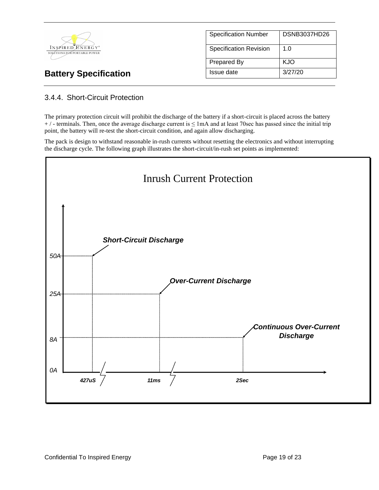|                                                  | <b>Specification Number</b>   | DSNB3037HD26 |
|--------------------------------------------------|-------------------------------|--------------|
| INSPIRED ENERGY*<br>SOLUTIONS FOR PORTABLE POWER | <b>Specification Revision</b> | 1.0          |
|                                                  | Prepared By                   | <b>KJO</b>   |
| <b>Battery Specification</b>                     | Issue date                    | 3/27/20      |

### 3.4.4. Short-Circuit Protection

The primary protection circuit will prohibit the discharge of the battery if a short-circuit is placed across the battery  $+$  / - terminals. Then, once the average discharge current is  $\leq 1$  mA and at least 70sec has passed since the initial trip point, the battery will re-test the short-circuit condition, and again allow discharging.

The pack is design to withstand reasonable in-rush currents without resetting the electronics and without interrupting the discharge cycle. The following graph illustrates the short-circuit/in-rush set points as implemented:

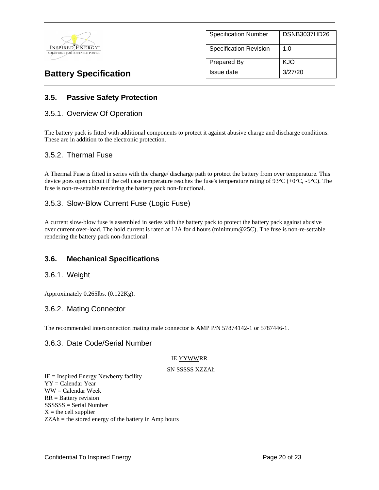

| <b>Specification Number</b> | DSNB3037HD26 |
|-----------------------------|--------------|
| Specification Revision      | 1.0          |
| Prepared By                 | KJO          |
| Issue date                  | 3/27/20      |

### **3.5. Passive Safety Protection**

#### 3.5.1. Overview Of Operation

The battery pack is fitted with additional components to protect it against abusive charge and discharge conditions. These are in addition to the electronic protection.

#### 3.5.2. Thermal Fuse

A Thermal Fuse is fitted in series with the charge/ discharge path to protect the battery from over temperature. This device goes open circuit if the cell case temperature reaches the fuse's temperature rating of  $93^{\circ}C (+0^{\circ}C, -5^{\circ}C)$ . The fuse is non-re-settable rendering the battery pack non-functional.

#### 3.5.3. Slow-Blow Current Fuse (Logic Fuse)

A current slow-blow fuse is assembled in series with the battery pack to protect the battery pack against abusive over current over-load. The hold current is rated at 12A for 4 hours (minimum@25C). The fuse is non-re-settable rendering the battery pack non-functional.

#### **3.6. Mechanical Specifications**

#### 3.6.1. Weight

Approximately 0.265lbs. (0.122Kg).

#### 3.6.2. Mating Connector

The recommended interconnection mating male connector is AMP P/N 57874142-1 or 5787446-1.

#### 3.6.3. Date Code/Serial Number

#### IE YYWWRR

#### SN SSSSS XZZAh

 $IE =$  Inspired Energy Newberry facility YY = Calendar Year WW = Calendar Week RR = Battery revision SSSSSS = Serial Number  $X =$  the cell supplier ZZAh = the stored energy of the battery in Amp hours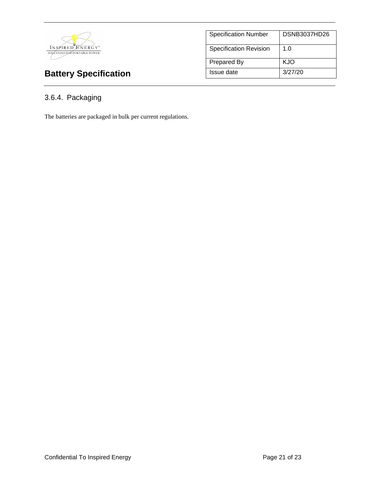

| <b>Specification Number</b>   | DSNB3037HD26 |
|-------------------------------|--------------|
| <b>Specification Revision</b> | 1. $\Omega$  |
| <b>Prepared By</b>            | KJO          |
| Issue date                    | 3/27/20      |

# 3.6.4. Packaging

The batteries are packaged in bulk per current regulations.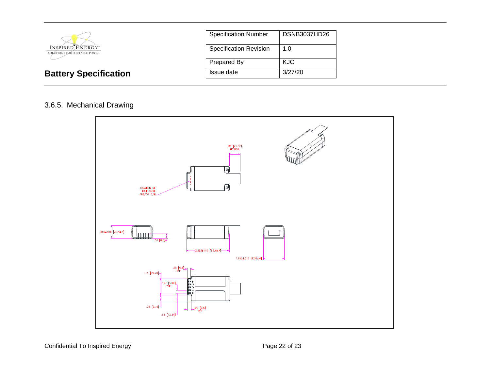

**Battery Specification** 

| <b>Specification Number</b>   | DSNB3037HD26 |
|-------------------------------|--------------|
| <b>Specification Revision</b> | 1.0          |
| <b>Prepared By</b>            | KJO          |
| Issue date                    | 3/27/20      |

### 3.6.5. Mechanical Drawing